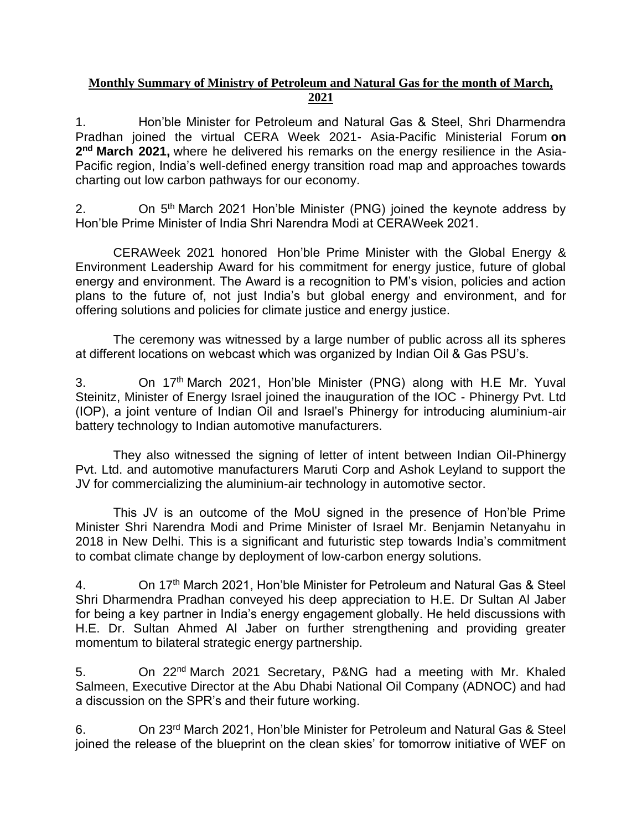## **Monthly Summary of Ministry of Petroleum and Natural Gas for the month of March, 2021**

1. Hon'ble Minister for Petroleum and Natural Gas & Steel, Shri Dharmendra Pradhan joined the virtual CERA Week 2021- Asia-Pacific Ministerial Forum **on 2 nd March 2021,** where he delivered his remarks on the energy resilience in the Asia-Pacific region, India's well-defined energy transition road map and approaches towards charting out low carbon pathways for our economy.

2. On 5<sup>th</sup> March 2021 Hon'ble Minister (PNG) joined the keynote address by Hon'ble Prime Minister of India Shri Narendra Modi at CERAWeek 2021.

CERAWeek 2021 honored Hon'ble Prime Minister with the Global Energy & Environment Leadership Award for his commitment for energy justice, future of global energy and environment. The Award is a recognition to PM's vision, policies and action plans to the future of, not just India's but global energy and environment, and for offering solutions and policies for climate justice and energy justice.

The ceremony was witnessed by a large number of public across all its spheres at different locations on webcast which was organized by Indian Oil & Gas PSU's.

3. On 17<sup>th</sup> March 2021, Hon'ble Minister (PNG) along with H.E Mr. Yuval Steinitz, Minister of Energy Israel joined the inauguration of the IOC - Phinergy Pvt. Ltd (IOP), a joint venture of Indian Oil and Israel's Phinergy for introducing aluminium-air battery technology to Indian automotive manufacturers.

They also witnessed the signing of letter of intent between Indian Oil-Phinergy Pvt. Ltd. and automotive manufacturers Maruti Corp and Ashok Leyland to support the JV for commercializing the aluminium-air technology in automotive sector.

This JV is an outcome of the MoU signed in the presence of Hon'ble Prime Minister Shri Narendra Modi and Prime Minister of Israel Mr. Benjamin Netanyahu in 2018 in New Delhi. This is a significant and futuristic step towards India's commitment to combat climate change by deployment of low-carbon energy solutions.

4. On 17th March 2021, Hon'ble Minister for Petroleum and Natural Gas & Steel Shri Dharmendra Pradhan conveyed his deep appreciation to H.E. Dr Sultan Al Jaber for being a key partner in India's energy engagement globally. He held discussions with H.E. Dr. Sultan Ahmed Al Jaber on further strengthening and providing greater momentum to bilateral strategic energy partnership.

5. On 22<sup>nd</sup> March 2021 Secretary, P&NG had a meeting with Mr. Khaled Salmeen, Executive Director at the Abu Dhabi National Oil Company (ADNOC) and had a discussion on the SPR's and their future working.

6. On 23rd March 2021, Hon'ble Minister for Petroleum and Natural Gas & Steel joined the release of the blueprint on the clean skies' for tomorrow initiative of WEF on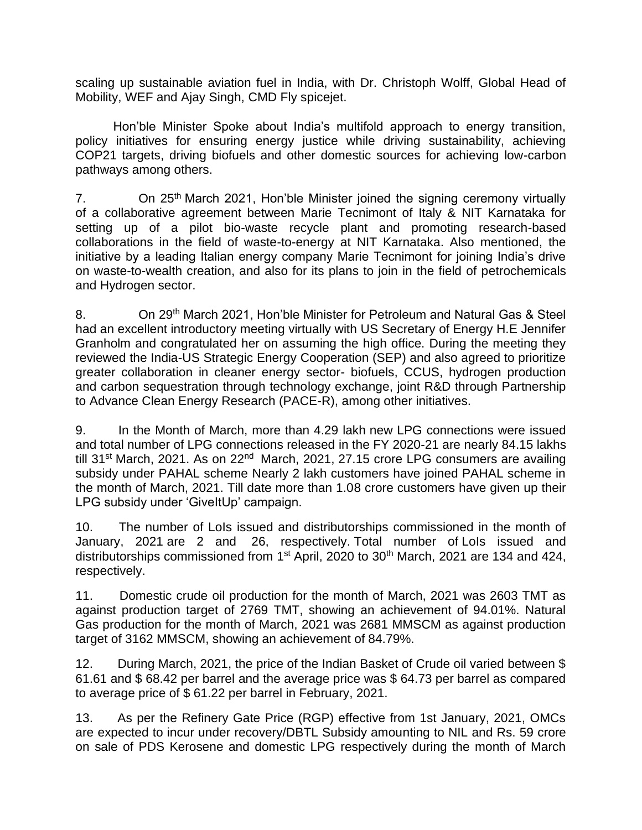scaling up sustainable aviation fuel in India, with Dr. Christoph Wolff, Global Head of Mobility, WEF and Ajay Singh, CMD Fly spicejet.

Hon'ble Minister Spoke about India's multifold approach to energy transition, policy initiatives for ensuring energy justice while driving sustainability, achieving COP21 targets, driving biofuels and other domestic sources for achieving low-carbon pathways among others.

7. On 25<sup>th</sup> March 2021, Hon'ble Minister joined the signing ceremony virtually of a collaborative agreement between Marie Tecnimont of Italy & NIT Karnataka for setting up of a pilot bio-waste recycle plant and promoting research-based collaborations in the field of waste-to-energy at NIT Karnataka. Also mentioned, the initiative by a leading Italian energy company Marie Tecnimont for joining India's drive on waste-to-wealth creation, and also for its plans to join in the field of petrochemicals and Hydrogen sector.

8. On 29<sup>th</sup> March 2021, Hon'ble Minister for Petroleum and Natural Gas & Steel had an excellent introductory meeting virtually with US Secretary of Energy H.E Jennifer Granholm and congratulated her on assuming the high office. During the meeting they reviewed the India-US Strategic Energy Cooperation (SEP) and also agreed to prioritize greater collaboration in cleaner energy sector- biofuels, CCUS, hydrogen production and carbon sequestration through technology exchange, joint R&D through Partnership to Advance Clean Energy Research (PACE-R), among other initiatives.

9. In the Month of March, more than 4.29 lakh new LPG connections were issued and total number of LPG connections released in the FY 2020-21 are nearly 84.15 lakhs till 31<sup>st</sup> March, 2021. As on 22<sup>nd</sup> March, 2021, 27.15 crore LPG consumers are availing subsidy under PAHAL scheme Nearly 2 lakh customers have joined PAHAL scheme in the month of March, 2021. Till date more than 1.08 crore customers have given up their LPG subsidy under 'GiveItUp' campaign.

10. The number of LoIs issued and distributorships commissioned in the month of January, 2021 are 2 and 26, respectively. Total number of LoIs issued and distributorships commissioned from 1<sup>st</sup> April, 2020 to 30<sup>th</sup> March, 2021 are 134 and 424, respectively.

11. Domestic crude oil production for the month of March, 2021 was 2603 TMT as against production target of 2769 TMT, showing an achievement of 94.01%. Natural Gas production for the month of March, 2021 was 2681 MMSCM as against production target of 3162 MMSCM, showing an achievement of 84.79%.

12. During March, 2021, the price of the Indian Basket of Crude oil varied between \$ 61.61 and \$ 68.42 per barrel and the average price was \$ 64.73 per barrel as compared to average price of \$ 61.22 per barrel in February, 2021.

13. As per the Refinery Gate Price (RGP) effective from 1st January, 2021, OMCs are expected to incur under recovery/DBTL Subsidy amounting to NIL and Rs. 59 crore on sale of PDS Kerosene and domestic LPG respectively during the month of March